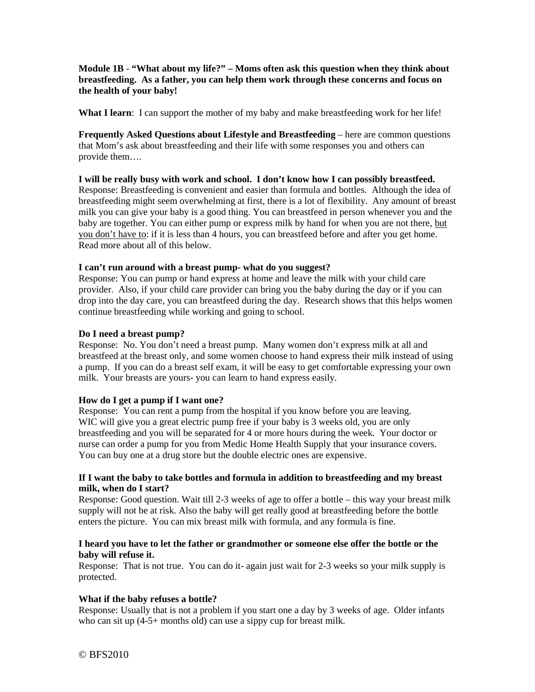## **Module 1B** - **"What about my life?" – Moms often ask this question when they think about breastfeeding. As a father, you can help them work through these concerns and focus on the health of your baby!**

**What I learn**: I can support the mother of my baby and make breastfeeding work for her life!

**Frequently Asked Questions about Lifestyle and Breastfeeding** – here are common questions that Mom's ask about breastfeeding and their life with some responses you and others can provide them….

### **I will be really busy with work and school. I don't know how I can possibly breastfeed.** Response: Breastfeeding is convenient and easier than formula and bottles. Although the idea of breastfeeding might seem overwhelming at first, there is a lot of flexibility. Any amount of breast milk you can give your baby is a good thing. You can breastfeed in person whenever you and the baby are together. You can either pump or express milk by hand for when you are not there, but you don't have to: if it is less than 4 hours, you can breastfeed before and after you get home. Read more about all of this below.

### **I can't run around with a breast pump- what do you suggest?**

Response: You can pump or hand express at home and leave the milk with your child care provider. Also, if your child care provider can bring you the baby during the day or if you can drop into the day care, you can breastfeed during the day. Research shows that this helps women continue breastfeeding while working and going to school.

#### **Do I need a breast pump?**

Response: No. You don't need a breast pump. Many women don't express milk at all and breastfeed at the breast only, and some women choose to hand express their milk instead of using a pump. If you can do a breast self exam, it will be easy to get comfortable expressing your own milk. Your breasts are yours- you can learn to hand express easily.

### **How do I get a pump if I want one?**

Response: You can rent a pump from the hospital if you know before you are leaving. WIC will give you a great electric pump free if your baby is 3 weeks old, you are only breastfeeding and you will be separated for 4 or more hours during the week. Your doctor or nurse can order a pump for you from Medic Home Health Supply that your insurance covers. You can buy one at a drug store but the double electric ones are expensive.

#### **If I want the baby to take bottles and formula in addition to breastfeeding and my breast milk, when do I start?**

Response: Good question. Wait till 2-3 weeks of age to offer a bottle – this way your breast milk supply will not be at risk. Also the baby will get really good at breastfeeding before the bottle enters the picture. You can mix breast milk with formula, and any formula is fine.

#### **I heard you have to let the father or grandmother or someone else offer the bottle or the baby will refuse it.**

Response: That is not true. You can do it- again just wait for 2-3 weeks so your milk supply is protected.

### **What if the baby refuses a bottle?**

Response: Usually that is not a problem if you start one a day by 3 weeks of age. Older infants who can sit up  $(4-5)$ + months old) can use a sippy cup for breast milk.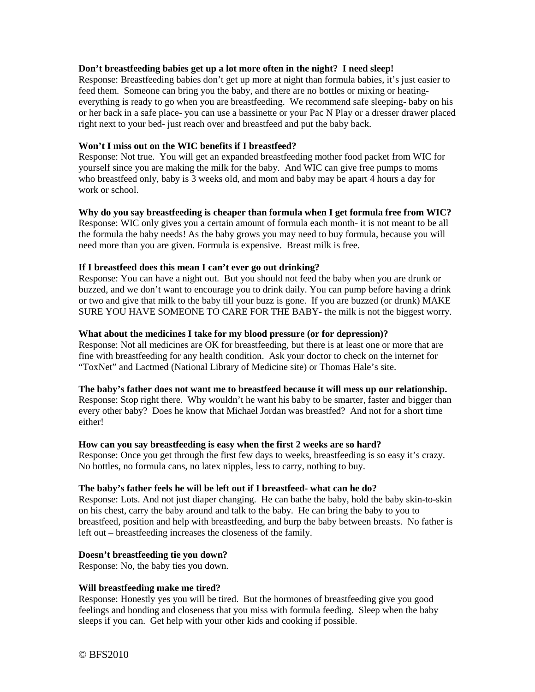#### **Don't breastfeeding babies get up a lot more often in the night? I need sleep!**

Response: Breastfeeding babies don't get up more at night than formula babies, it's just easier to feed them. Someone can bring you the baby, and there are no bottles or mixing or heatingeverything is ready to go when you are breastfeeding. We recommend safe sleeping- baby on his or her back in a safe place- you can use a bassinette or your Pac N Play or a dresser drawer placed right next to your bed- just reach over and breastfeed and put the baby back.

### **Won't I miss out on the WIC benefits if I breastfeed?**

Response: Not true. You will get an expanded breastfeeding mother food packet from WIC for yourself since you are making the milk for the baby. And WIC can give free pumps to moms who breastfeed only, baby is 3 weeks old, and mom and baby may be apart 4 hours a day for work or school.

# **Why do you say breastfeeding is cheaper than formula when I get formula free from WIC?**

Response: WIC only gives you a certain amount of formula each month- it is not meant to be all the formula the baby needs! As the baby grows you may need to buy formula, because you will need more than you are given. Formula is expensive. Breast milk is free.

#### **If I breastfeed does this mean I can't ever go out drinking?**

Response: You can have a night out. But you should not feed the baby when you are drunk or buzzed, and we don't want to encourage you to drink daily. You can pump before having a drink or two and give that milk to the baby till your buzz is gone. If you are buzzed (or drunk) MAKE SURE YOU HAVE SOMEONE TO CARE FOR THE BABY- the milk is not the biggest worry.

#### **What about the medicines I take for my blood pressure (or for depression)?**

Response: Not all medicines are OK for breastfeeding, but there is at least one or more that are fine with breastfeeding for any health condition. Ask your doctor to check on the internet for "ToxNet" and Lactmed (National Library of Medicine site) or Thomas Hale's site.

#### **The baby's father does not want me to breastfeed because it will mess up our relationship.**

Response: Stop right there. Why wouldn't he want his baby to be smarter, faster and bigger than every other baby? Does he know that Michael Jordan was breastfed? And not for a short time either!

#### **How can you say breastfeeding is easy when the first 2 weeks are so hard?**

Response: Once you get through the first few days to weeks, breastfeeding is so easy it's crazy. No bottles, no formula cans, no latex nipples, less to carry, nothing to buy.

#### **The baby's father feels he will be left out if I breastfeed- what can he do?**

Response: Lots. And not just diaper changing. He can bathe the baby, hold the baby skin-to-skin on his chest, carry the baby around and talk to the baby. He can bring the baby to you to breastfeed, position and help with breastfeeding, and burp the baby between breasts. No father is left out – breastfeeding increases the closeness of the family.

#### **Doesn't breastfeeding tie you down?**

Response: No, the baby ties you down.

#### **Will breastfeeding make me tired?**

Response: Honestly yes you will be tired. But the hormones of breastfeeding give you good feelings and bonding and closeness that you miss with formula feeding. Sleep when the baby sleeps if you can. Get help with your other kids and cooking if possible.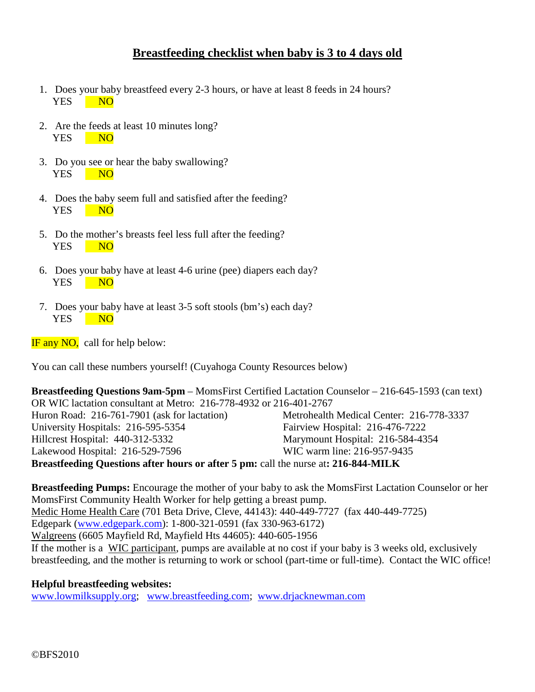# **Breastfeeding checklist when baby is 3 to 4 days old**

- 1. Does your baby breastfeed every 2-3 hours, or have at least 8 feeds in 24 hours? YES NO
- 2. Are the feeds at least 10 minutes long? YES NO
- 3. Do you see or hear the baby swallowing? YES NO
- 4. Does the baby seem full and satisfied after the feeding? YES NO
- 5. Do the mother's breasts feel less full after the feeding? YES NO
- 6. Does your baby have at least 4-6 urine (pee) diapers each day? YES NO
- 7. Does your baby have at least 3-5 soft stools (bm's) each day? YES NO

**IF any NO**, call for help below:

You can call these numbers yourself! (Cuyahoga County Resources below)

**Breastfeeding Questions 9am-5pm** – MomsFirst Certified Lactation Counselor – 216-645-1593 (can text) OR WIC lactation consultant at Metro: 216-778-4932 or 216-401-2767 Huron Road: 216-761-7901 (ask for lactation) Metrohealth Medical Center: 216-778-3337 University Hospitals: 216-595-5354 Fairview Hospital: 216-476-7222 Hillcrest Hospital: 440-312-5332 Marymount Hospital: 216-584-4354 Lakewood Hospital: 216-529-7596 WIC warm line: 216-957-9435 **Breastfeeding Questions after hours or after 5 pm:** call the nurse at**: 216-844-MILK**

**Breastfeeding Pumps:** Encourage the mother of your baby to ask the MomsFirst Lactation Counselor or her MomsFirst Community Health Worker for help getting a breast pump. Medic Home Health Care (701 Beta Drive, Cleve, 44143): 440-449-7727 (fax 440-449-7725) Edgepark (www.edgepark.com): 1-800-321-0591 (fax 330-963-6172) Walgreens (6605 Mayfield Rd, Mayfield Hts 44605): 440-605-1956 If the mother is a WIC participant, pumps are available at no cost if your baby is 3 weeks old, exclusively breastfeeding, and the mother is returning to work or school (part-time or full-time). Contact the WIC office!

# **Helpful breastfeeding websites:**

www.lowmilksupply.org; www.breastfeeding.com; www.drjacknewman.com